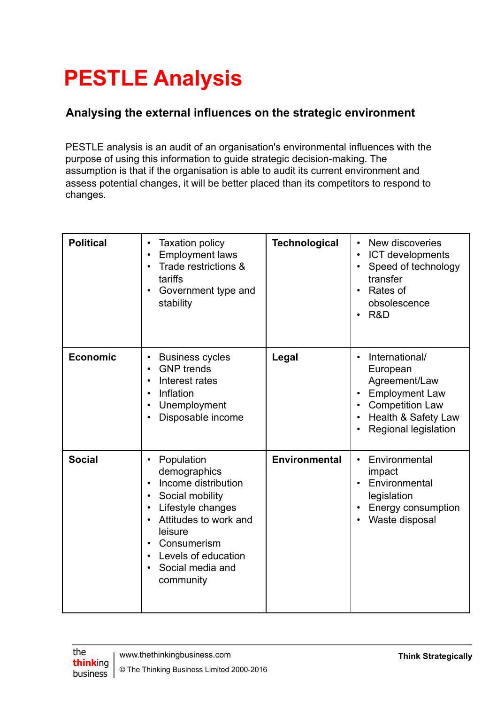## **PESTLE Analysis**

## **Analysing the external influences on the strategic environment**

PESTLE analysis is an audit of an organisation's environmental influences with the purpose of using this information to guide strategic decision-making. The assumption is that if the organisation is able to audit its current environment and assess potential changes, it will be better placed than its competitors to respond to changes.

| <b>Political</b> | <b>Taxation policy</b><br><b>Employment laws</b><br>Trade restrictions &<br>tariffs<br>Government type and<br>stability                                                                              | <b>Technological</b> | New discoveries<br>$\bullet$<br>ICT developments<br>$\bullet$<br>Speed of technology<br>$\bullet$<br>transfer<br>Rates of<br>$\bullet$<br>obsolescence<br>R&D           |
|------------------|------------------------------------------------------------------------------------------------------------------------------------------------------------------------------------------------------|----------------------|-------------------------------------------------------------------------------------------------------------------------------------------------------------------------|
| <b>Economic</b>  | <b>Business cycles</b><br><b>GNP</b> trends<br>Interest rates<br>Inflation<br>Unemployment<br>Disposable income                                                                                      | Legal                | International/<br>$\bullet$<br>European<br>Agreement/Law<br><b>Employment Law</b><br><b>Competition Law</b><br>$\bullet$<br>Health & Safety Law<br>Regional legislation |
| <b>Social</b>    | Population<br>demographics<br>Income distribution<br>Social mobility<br>Lifestyle changes<br>Attitudes to work and<br>leisure<br>Consumerism<br>Levels of education<br>Social media and<br>community | Environmental        | Environmental<br>$\bullet$<br>impact<br>Environmental<br>legislation<br>Energy consumption<br>Waste disposal                                                            |